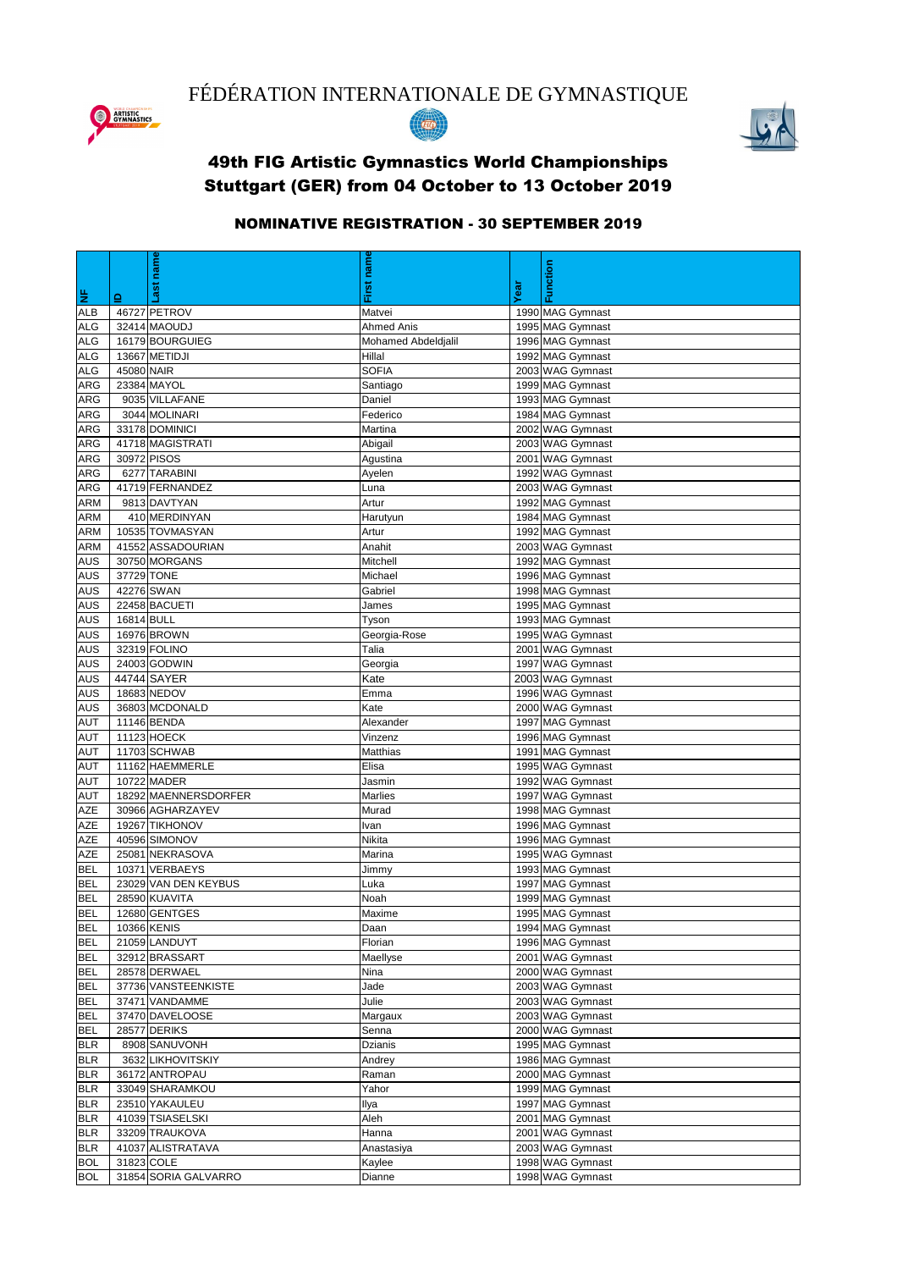|            |            | name                 | name                |      | Function         |
|------------|------------|----------------------|---------------------|------|------------------|
|            |            |                      |                     |      |                  |
| <b>LE</b>  | 으          |                      | First               | Year |                  |
| <b>ALB</b> |            | 46727 PETROV         | Matvei              |      | 1990 MAG Gymnast |
| <b>ALG</b> |            | 32414 MAOUDJ         | <b>Ahmed Anis</b>   |      | 1995 MAG Gymnast |
| <b>ALG</b> |            | 16179 BOURGUIEG      | Mohamed Abdeldjalil |      | 1996 MAG Gymnast |
| <b>ALG</b> |            | 13667 METIDJI        | Hillal              |      | 1992 MAG Gymnast |
| <b>ALG</b> | 45080 NAIR |                      | <b>SOFIA</b>        |      | 2003 WAG Gymnast |
| <b>ARG</b> |            | 23384 MAYOL          | Santiago            |      | 1999 MAG Gymnast |
| <b>ARG</b> |            | 9035 VILLAFANE       | Daniel              |      | 1993 MAG Gymnast |
| <b>ARG</b> |            | 3044 MOLINARI        | Federico            |      | 1984 MAG Gymnast |
| <b>ARG</b> |            | 33178 DOMINICI       | Martina             |      | 2002 WAG Gymnast |
| <b>ARG</b> |            | 41718 MAGISTRATI     | Abigail             |      | 2003 WAG Gymnast |
| <b>ARG</b> |            | 30972 PISOS          | Agustina            |      | 2001 WAG Gymnast |
| <b>ARG</b> |            | 6277 TARABINI        | Ayelen              |      | 1992 WAG Gymnast |
| <b>ARG</b> |            | 41719 FERNANDEZ      | Luna                |      | 2003 WAG Gymnast |
| <b>ARM</b> |            | 9813 DAVTYAN         | Artur               |      | 1992 MAG Gymnast |
| <b>ARM</b> |            | 410 MERDINYAN        | Harutyun            |      | 1984 MAG Gymnast |
| <b>ARM</b> |            | 10535 TOVMASYAN      | Artur               |      | 1992 MAG Gymnast |
| <b>ARM</b> |            | 41552 ASSADOURIAN    | Anahit              |      | 2003 WAG Gymnast |
| <b>AUS</b> |            | 30750 MORGANS        | Mitchell            |      | 1992 MAG Gymnast |
| <b>AUS</b> | 37729 TONE |                      | Michael             |      | 1996 MAG Gymnast |
| <b>AUS</b> |            | 42276 SWAN           | Gabriel             |      | 1998 MAG Gymnast |
| <b>AUS</b> |            | 22458 BACUETI        | James               |      | 1995 MAG Gymnast |
| <b>AUS</b> | 16814 BULL |                      | Tyson               |      | 1993 MAG Gymnast |
| <b>AUS</b> |            | 16976 BROWN          | Georgia-Rose        |      | 1995 WAG Gymnast |
| <b>AUS</b> |            | 32319 FOLINO         | Talia               |      | 2001 WAG Gymnast |
| <b>AUS</b> |            | 24003 GODWIN         | Georgia             |      | 1997 WAG Gymnast |
| <b>AUS</b> |            | 44744 SAYER          | Kate                |      | 2003 WAG Gymnast |
| <b>AUS</b> |            | 18683 NEDOV          | Emma                |      | 1996 WAG Gymnast |
| <b>AUS</b> |            | 36803 MCDONALD       | Kate                |      | 2000 WAG Gymnast |
| <b>AUT</b> |            | 11146 BENDA          | Alexander           |      | 1997 MAG Gymnast |
| <b>AUT</b> |            | 11123 HOECK          | Vinzenz             |      | 1996 MAG Gymnast |
| <b>AUT</b> |            | 11703 SCHWAB         | Matthias            |      | 1991 MAG Gymnast |
| <b>AUT</b> |            | 11162 HAEMMERLE      | Elisa               |      | 1995 WAG Gymnast |
| <b>AUT</b> |            | 10722 MADER          | Jasmin              |      | 1992 WAG Gymnast |
| <b>AUT</b> |            | 18292 MAENNERSDORFER | <b>Marlies</b>      |      | 1997 WAG Gymnast |
| <b>AZE</b> |            | 30966 AGHARZAYEV     | Murad               |      | 1998 MAG Gymnast |
| <b>AZE</b> |            | 19267 TIKHONOV       | Ivan                |      | 1996 MAG Gymnast |
| <b>AZE</b> |            | 40596 SIMONOV        | Nikita              |      | 1996 MAG Gymnast |
| <b>AZE</b> |            | 25081 NEKRASOVA      | Marina              |      | 1995 WAG Gymnast |
| <b>BEL</b> |            | 10371 VERBAEYS       | Jimmy               |      | 1993 MAG Gymnast |
| <b>BEL</b> |            | 23029 VAN DEN KEYBUS | Luka                |      | 1997 MAG Gymnast |
| <b>BEL</b> |            | 28590 KUAVITA        | Noah                |      | 1999 MAG Gymnast |
| <b>BEL</b> |            | 12680 GENTGES        | Maxime              |      | 1995 MAG Gymnast |
| <b>BEL</b> |            | 10366 KENIS          | Daan                |      | 1994 MAG Gymnast |
| <b>BEL</b> |            | 21059 LANDUYT        | Florian             |      | 1996 MAG Gymnast |
| <b>BEL</b> |            | 32912 BRASSART       | Maellyse            |      | 2001 WAG Gymnast |
| <b>BEL</b> |            | 28578 DERWAEL        | Nina                |      | 2000 WAG Gymnast |
| <b>BEL</b> |            | 37736 VANSTEENKISTE  | Jade                |      | 2003 WAG Gymnast |
| <b>BEL</b> |            | 37471 VANDAMME       | Julie               |      | 2003 WAG Gymnast |
| <b>BEL</b> |            | 37470 DAVELOOSE      | Margaux             |      | 2003 WAG Gymnast |
| <b>BEL</b> |            | 28577 DERIKS         | Senna               |      | 2000 WAG Gymnast |
| <b>BLR</b> |            | 8908 SANUVONH        | <b>Dzianis</b>      |      | 1995 MAG Gymnast |
| <b>BLR</b> |            | 3632 LIKHOVITSKIY    | Andrey              |      | 1986 MAG Gymnast |
| <b>BLR</b> |            | 36172 ANTROPAU       | Raman               |      | 2000 MAG Gymnast |
| <b>BLR</b> |            | 33049 SHARAMKOU      | Yahor               |      | 1999 MAG Gymnast |
| <b>BLR</b> |            | 23510 YAKAULEU       | Ilya                |      | 1997 MAG Gymnast |
| <b>BLR</b> |            | 41039 TSIASELSKI     | Aleh                |      | 2001 MAG Gymnast |
| <b>BLR</b> |            | 33209 TRAUKOVA       | Hanna               |      | 2001 WAG Gymnast |
| <b>BLR</b> |            | 41037 ALISTRATAVA    | Anastasiya          |      | 2003 WAG Gymnast |
| <b>BOL</b> | 31823 COLE |                      | Kaylee              |      | 1998 WAG Gymnast |
| <b>BOL</b> |            | 31854 SORIA GALVARRO | Dianne              |      | 1998 WAG Gymnast |

FÉDÉRATION INTERNATIONALE DE GYMNASTIQUE







## 49th FIG Artistic Gymnastics World Championships Stuttgart (GER) from 04 October to 13 October 2019

## NOMINATIVE REGISTRATION - 30 SEPTEMBER 2019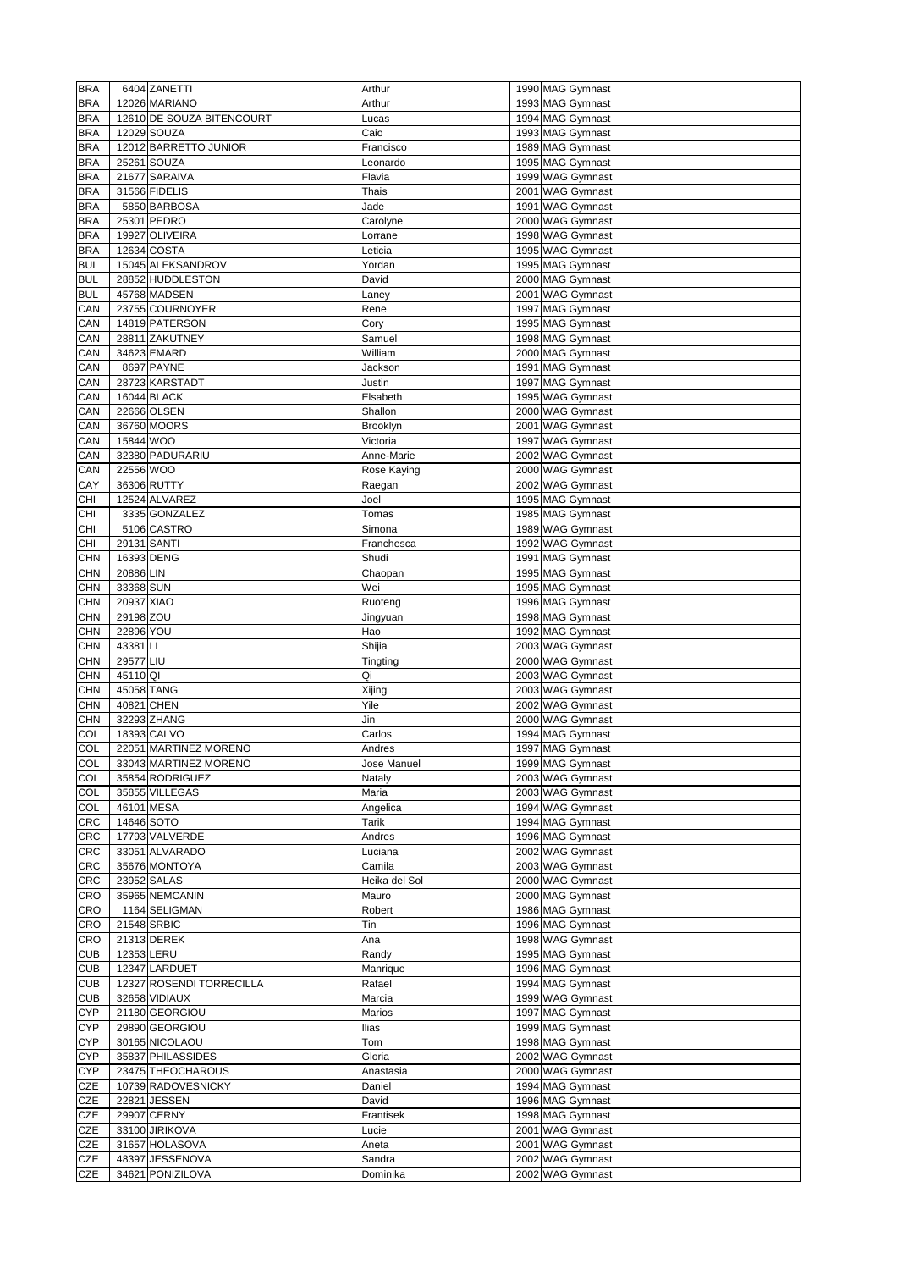| <b>BRA</b> |             | 6404 ZANETTI              | Arthur        | 1990 MAG Gymnast |
|------------|-------------|---------------------------|---------------|------------------|
|            |             | 12026 MARIANO             |               |                  |
| <b>BRA</b> |             |                           | Arthur        | 1993 MAG Gymnast |
| <b>BRA</b> |             | 12610 DE SOUZA BITENCOURT | Lucas         | 1994 MAG Gymnast |
| <b>BRA</b> |             | 12029 SOUZA               | Caio          | 1993 MAG Gymnast |
| <b>BRA</b> |             | 12012 BARRETTO JUNIOR     | Francisco     | 1989 MAG Gymnast |
| <b>BRA</b> |             | 25261 SOUZA               | Leonardo      | 1995 MAG Gymnast |
|            |             |                           |               |                  |
| <b>BRA</b> |             | 21677 SARAIVA             | Flavia        | 1999 WAG Gymnast |
| <b>BRA</b> |             | 31566 FIDELIS             | <b>Thais</b>  | 2001 WAG Gymnast |
| <b>BRA</b> |             | 5850 BARBOSA              | Jade          | 1991 WAG Gymnast |
| <b>BRA</b> |             | 25301 PEDRO               | Carolyne      | 2000 WAG Gymnast |
|            |             | 19927 OLIVEIRA            |               | 1998 WAG Gymnast |
| <b>BRA</b> |             |                           | Lorrane       |                  |
| <b>BRA</b> |             | 12634 COSTA               | Leticia       | 1995 WAG Gymnast |
| <b>BUL</b> |             | 15045 ALEKSANDROV         | Yordan        | 1995 MAG Gymnast |
| <b>BUL</b> |             | 28852 HUDDLESTON          | David         | 2000 MAG Gymnast |
| <b>BUL</b> |             | 45768 MADSEN              | Laney         | 2001 WAG Gymnast |
|            |             |                           |               |                  |
| <b>CAN</b> |             | 23755 COURNOYER           | Rene          | 1997 MAG Gymnast |
| <b>CAN</b> |             | 14819 PATERSON            | Cory          | 1995 MAG Gymnast |
| CAN        |             | 28811 ZAKUTNEY            | Samuel        | 1998 MAG Gymnast |
| CAN        |             | 34623 EMARD               | William       | 2000 MAG Gymnast |
|            |             |                           |               |                  |
| <b>CAN</b> |             | 8697 PAYNE                | Jackson       | 1991 MAG Gymnast |
| CAN        |             | 28723 KARSTADT            | Justin        | 1997 MAG Gymnast |
| CAN        |             | 16044 BLACK               | Elsabeth      | 1995 WAG Gymnast |
| <b>CAN</b> |             | 22666 OLSEN               | Shallon       | 2000 WAG Gymnast |
| CAN        |             | 36760 MOORS               | Brooklyn      | 2001 WAG Gymnast |
|            |             |                           |               |                  |
| <b>CAN</b> | 15844 WOO   |                           | Victoria      | 1997 WAG Gymnast |
| CAN        |             | 32380 PADURARIU           | Anne-Marie    | 2002 WAG Gymnast |
| CAN        | 22556 WOO   |                           | Rose Kaying   | 2000 WAG Gymnast |
| <b>CAY</b> |             | 36306 RUTTY               | Raegan        | 2002 WAG Gymnast |
|            |             |                           |               |                  |
| <b>CHI</b> |             | 12524 ALVAREZ             | Joel          | 1995 MAG Gymnast |
| <b>CHI</b> |             | 3335 GONZALEZ             | Tomas         | 1985 MAG Gymnast |
| <b>CHI</b> |             | 5106 CASTRO               | Simona        | 1989 WAG Gymnast |
| <b>CHI</b> | 29131 SANTI |                           | Franchesca    | 1992 WAG Gymnast |
|            |             |                           |               |                  |
| <b>CHN</b> | 16393 DENG  |                           | Shudi         | 1991 MAG Gymnast |
| <b>CHN</b> | 20886 LIN   |                           | Chaopan       | 1995 MAG Gymnast |
| <b>CHN</b> | 33368 SUN   |                           | Wei           | 1995 MAG Gymnast |
| <b>CHN</b> | 20937 XIAO  |                           | Ruoteng       | 1996 MAG Gymnast |
|            |             |                           |               |                  |
| <b>CHN</b> | 29198 ZOU   |                           | Jingyuan      | 1998 MAG Gymnast |
| <b>CHN</b> | 22896 YOU   |                           | Hao           | 1992 MAG Gymnast |
| <b>CHN</b> | 43381LI     |                           | Shijia        | 2003 WAG Gymnast |
| <b>CHN</b> | 29577 LIU   |                           | Tingting      | 2000 WAG Gymnast |
| <b>CHN</b> | 45110 QI    |                           | Qi            | 2003 WAG Gymnast |
|            |             |                           |               |                  |
| <b>CHN</b> | 45058 TANG  |                           | Xijing        | 2003 WAG Gymnast |
| <b>CHN</b> | 40821 CHEN  |                           | Yile          | 2002 WAG Gymnast |
| <b>CHN</b> |             | 32293 ZHANG               | Jin           | 2000 WAG Gymnast |
| COL        |             | 18393 CALVO               | Carlos        | 1994 MAG Gymnast |
| COL        |             | 22051 MARTINEZ MORENO     |               | 1997 MAG Gymnast |
|            |             |                           | Andres        |                  |
| COL        |             | 33043 MARTINEZ MORENO     | Jose Manuel   | 1999 MAG Gymnast |
| COL        |             | 35854 RODRIGUEZ           | Nataly        | 2003 WAG Gymnast |
| COL        |             | 35855 VILLEGAS            | Maria         | 2003 WAG Gymnast |
| COL        | 46101 MESA  |                           | Angelica      | 1994 WAG Gymnast |
|            |             |                           |               | 1994 MAG Gymnast |
| <b>CRC</b> | 14646 SOTO  |                           | <b>Tarik</b>  |                  |
| <b>CRC</b> |             | 17793 VALVERDE            | Andres        | 1996 MAG Gymnast |
| <b>CRC</b> |             | 33051 ALVARADO            | Luciana       | 2002 WAG Gymnast |
| <b>CRC</b> |             | 35676 MONTOYA             | Camila        | 2003 WAG Gymnast |
| <b>CRC</b> |             | 23952 SALAS               | Heika del Sol | 2000 WAG Gymnast |
|            |             |                           |               |                  |
| <b>CRO</b> |             | 35965 NEMCANIN            | Mauro         | 2000 MAG Gymnast |
| <b>CRO</b> |             | 1164 SELIGMAN             | Robert        | 1986 MAG Gymnast |
| <b>CRO</b> |             | 21548 SRBIC               | Tin           | 1996 MAG Gymnast |
| <b>CRO</b> |             | 21313 DEREK               | Ana           | 1998 WAG Gymnast |
| <b>CUB</b> | 12353 LERU  |                           | Randy         | 1995 MAG Gymnast |
|            |             |                           |               |                  |
| <b>CUB</b> |             | 12347 LARDUET             | Manrique      | 1996 MAG Gymnast |
| <b>CUB</b> |             | 12327 ROSENDI TORRECILLA  | Rafael        | 1994 MAG Gymnast |
| <b>CUB</b> |             | 32658 VIDIAUX             | Marcia        | 1999 WAG Gymnast |
| <b>CYP</b> |             | 21180 GEORGIOU            | <b>Marios</b> | 1997 MAG Gymnast |
|            |             |                           |               |                  |
| <b>CYP</b> |             | 29890 GEORGIOU            | <b>Ilias</b>  | 1999 MAG Gymnast |
| <b>CYP</b> |             | 30165 NICOLAOU            | Tom           | 1998 MAG Gymnast |
| <b>CYP</b> |             | 35837 PHILASSIDES         | Gloria        | 2002 WAG Gymnast |
| <b>CYP</b> |             | 23475 THEOCHAROUS         | Anastasia     | 2000 WAG Gymnast |
| <b>CZE</b> |             |                           |               | 1994 MAG Gymnast |
|            |             | 10739 RADOVESNICKY        | Daniel        |                  |
| <b>CZE</b> |             | 22821 JESSEN              | David         | 1996 MAG Gymnast |
| <b>CZE</b> |             | 29907 CERNY               | Frantisek     | 1998 MAG Gymnast |
| <b>CZE</b> |             | 33100 JIRIKOVA            | Lucie         | 2001 WAG Gymnast |
| <b>CZE</b> |             | 31657 HOLASOVA            |               | 2001 WAG Gymnast |
|            |             |                           | Aneta         |                  |
| <b>CZE</b> |             | 48397 JESSENOVA           | Sandra        | 2002 WAG Gymnast |
| <b>CZE</b> |             | 34621 PONIZILOVA          | Dominika      | 2002 WAG Gymnast |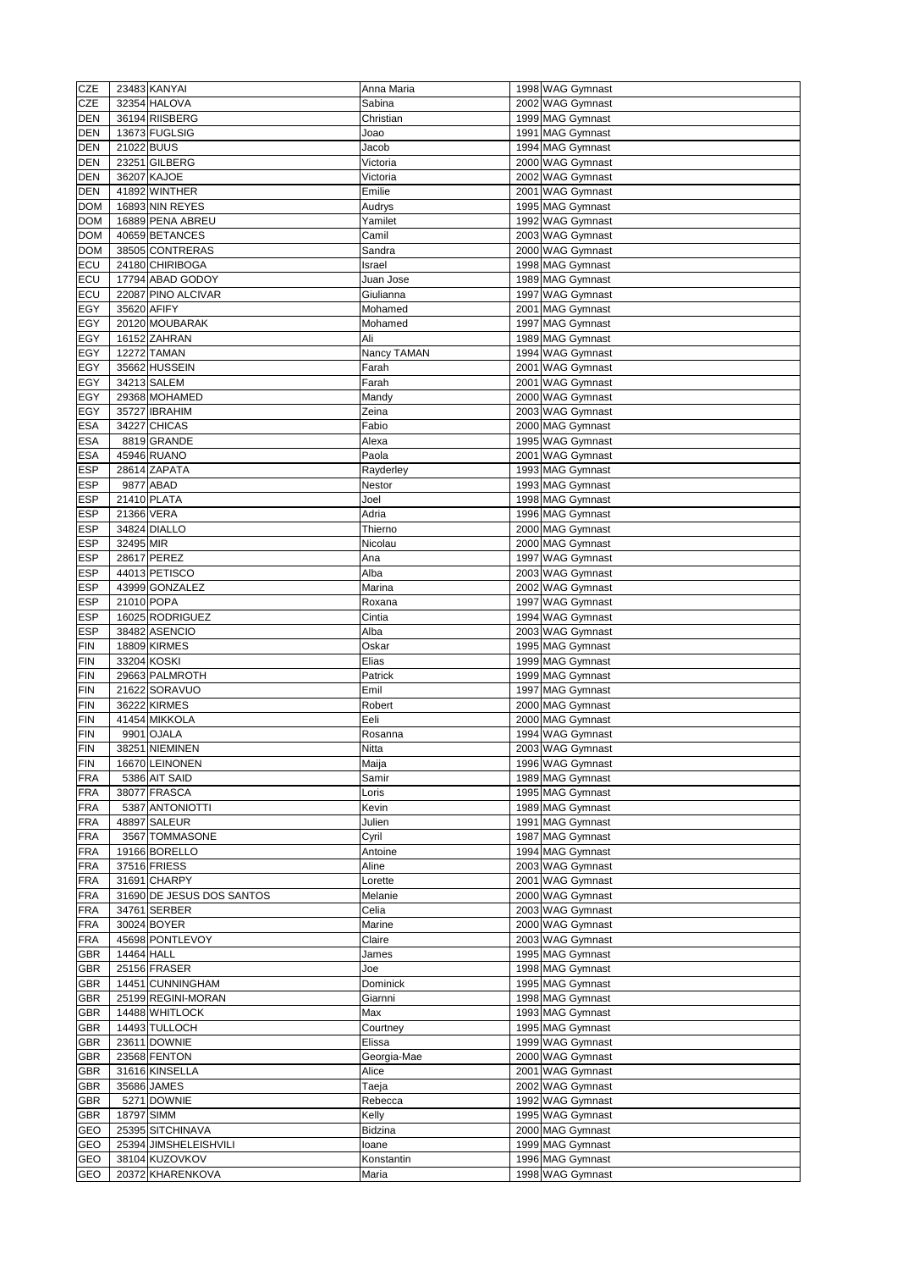| <b>CZE</b> |             | 23483 KANYAI              | Anna Maria     | 1998 WAG Gymnast |
|------------|-------------|---------------------------|----------------|------------------|
| <b>CZE</b> |             | 32354 HALOVA              | Sabina         | 2002 WAG Gymnast |
| <b>DEN</b> |             | 36194 RIISBERG            | Christian      | 1999 MAG Gymnast |
|            |             |                           |                |                  |
| <b>DEN</b> |             | 13673 FUGLSIG             | Joao           | 1991 MAG Gymnast |
| <b>DEN</b> | 21022 BUUS  |                           | Jacob          | 1994 MAG Gymnast |
| <b>DEN</b> |             | 23251 GILBERG             | Victoria       | 2000 WAG Gymnast |
| <b>DEN</b> |             | 36207 KAJOE               | Victoria       | 2002 WAG Gymnast |
| <b>DEN</b> |             | 41892 WINTHER             | Emilie         | 2001 WAG Gymnast |
| <b>DOM</b> |             | 16893 NIN REYES           | Audrys         | 1995 MAG Gymnast |
| <b>DOM</b> |             | 16889 PENA ABREU          | Yamilet        | 1992 WAG Gymnast |
| <b>DOM</b> |             | 40659 BETANCES            | Camil          | 2003 WAG Gymnast |
|            |             |                           |                |                  |
| <b>DOM</b> |             | 38505 CONTRERAS           | Sandra         | 2000 WAG Gymnast |
| ECU        |             | 24180 CHIRIBOGA           | Israel         | 1998 MAG Gymnast |
| <b>ECU</b> |             | 17794 ABAD GODOY          | Juan Jose      | 1989 MAG Gymnast |
| <b>ECU</b> |             | 22087 PINO ALCIVAR        | Giulianna      | 1997 WAG Gymnast |
| <b>EGY</b> | 35620 AFIFY |                           | Mohamed        | 2001 MAG Gymnast |
| EGY        |             | 20120 MOUBARAK            | Mohamed        | 1997 MAG Gymnast |
| <b>EGY</b> |             | 16152 ZAHRAN              | Ali            | 1989 MAG Gymnast |
|            |             |                           |                |                  |
| EGY        |             | 12272 TAMAN               | Nancy TAMAN    | 1994 WAG Gymnast |
| <b>EGY</b> |             | 35662 HUSSEIN             | Farah          | 2001 WAG Gymnast |
| EGY        |             | 34213 SALEM               | Farah          | 2001 WAG Gymnast |
| <b>EGY</b> |             | 29368 MOHAMED             | Mandy          | 2000 WAG Gymnast |
| <b>EGY</b> |             | 35727 IBRAHIM             | Zeina          | 2003 WAG Gymnast |
| <b>ESA</b> |             | 34227 CHICAS              | Fabio          | 2000 MAG Gymnast |
| <b>ESA</b> |             | 8819 GRANDE               | Alexa          | 1995 WAG Gymnast |
|            |             | 45946 RUANO               | Paola          |                  |
| <b>ESA</b> |             |                           |                | 2001 WAG Gymnast |
| <b>ESP</b> |             | 28614 ZAPATA              | Rayderley      | 1993 MAG Gymnast |
| <b>ESP</b> |             | 9877 ABAD                 | Nestor         | 1993 MAG Gymnast |
| <b>ESP</b> |             | 21410 PLATA               | Joel           | 1998 MAG Gymnast |
| <b>ESP</b> | 21366 VERA  |                           | Adria          | 1996 MAG Gymnast |
| <b>ESP</b> |             | 34824 DIALLO              | Thierno        | 2000 MAG Gymnast |
| <b>ESP</b> | 32495 MIR   |                           | Nicolau        | 2000 MAG Gymnast |
| <b>ESP</b> |             | 28617 PEREZ               | Ana            | 1997 WAG Gymnast |
|            |             |                           |                |                  |
| <b>ESP</b> |             | 44013 PETISCO             | Alba           | 2003 WAG Gymnast |
| <b>ESP</b> |             | 43999 GONZALEZ            | Marina         | 2002 WAG Gymnast |
| <b>ESP</b> | 21010 POPA  |                           | Roxana         | 1997 WAG Gymnast |
| <b>ESP</b> |             | 16025 RODRIGUEZ           | Cintia         | 1994 WAG Gymnast |
| <b>ESP</b> |             | 38482 ASENCIO             | Alba           | 2003 WAG Gymnast |
| FIN        |             | 18809 KIRMES              | Oskar          | 1995 MAG Gymnast |
| FIN        |             | 33204 KOSKI               | Elias          | 1999 MAG Gymnast |
|            |             |                           |                |                  |
| FIN        |             | 29663 PALMROTH            | Patrick        | 1999 MAG Gymnast |
| FIN        |             | 21622 SORAVUO             | Emil           | 1997 MAG Gymnast |
| FIN        |             | 36222 KIRMES              | Robert         | 2000 MAG Gymnast |
| FIN        |             | 41454 MIKKOLA             | Eeli           | 2000 MAG Gymnast |
| FIN        |             | 9901 OJALA                | Rosanna        | 1994 WAG Gymnast |
| FIN        |             | 38251 NIEMINEN            | <b>Nitta</b>   | 2003 WAG Gymnast |
| <b>FIN</b> |             | 16670 LEINONEN            | Maija          | 1996 WAG Gymnast |
| FRA        |             | 5386 AIT SAID             | Samir          | 1989 MAG Gymnast |
|            |             |                           |                |                  |
| FRA        |             | 38077 FRASCA              | Loris          | 1995 MAG Gymnast |
| <b>FRA</b> |             | 5387 ANTONIOTTI           | Kevin          | 1989 MAG Gymnast |
| FRA        |             | 48897 SALEUR              | Julien         | 1991 MAG Gymnast |
| <b>FRA</b> |             | 3567 TOMMASONE            | Cyril          | 1987 MAG Gymnast |
| <b>FRA</b> |             | 19166 BORELLO             | Antoine        | 1994 MAG Gymnast |
| <b>FRA</b> |             | 37516 FRIESS              | Aline          | 2003 WAG Gymnast |
| FRA        |             | 31691 CHARPY              | Lorette        | 2001 WAG Gymnast |
| FRA        |             | 31690 DE JESUS DOS SANTOS | Melanie        | 2000 WAG Gymnast |
|            |             |                           |                |                  |
| FRA        |             | 34761 SERBER              | Celia          | 2003 WAG Gymnast |
| FRA        |             | 30024 BOYER               | Marine         | 2000 WAG Gymnast |
| FRA        |             | 45698 PONTLEVOY           | Claire         | 2003 WAG Gymnast |
| <b>GBR</b> | 14464 HALL  |                           | James          | 1995 MAG Gymnast |
| <b>GBR</b> |             | 25156 FRASER              | Joe            | 1998 MAG Gymnast |
| <b>GBR</b> |             | 14451 CUNNINGHAM          | Dominick       | 1995 MAG Gymnast |
| GBR        |             | 25199 REGINI-MORAN        | Giarnni        | 1998 MAG Gymnast |
|            |             |                           |                |                  |
| <b>GBR</b> |             | 14488 WHITLOCK            | Max            | 1993 MAG Gymnast |
| <b>GBR</b> |             | 14493 TULLOCH             | Courtney       | 1995 MAG Gymnast |
| <b>GBR</b> |             | 23611 DOWNIE              | Elissa         | 1999 WAG Gymnast |
| <b>GBR</b> |             | 23568 FENTON              | Georgia-Mae    | 2000 WAG Gymnast |
| <b>GBR</b> |             | 31616 KINSELLA            | Alice          | 2001 WAG Gymnast |
| <b>GBR</b> |             | 35686 JAMES               | Taeja          | 2002 WAG Gymnast |
| <b>GBR</b> |             | 5271 DOWNIE               | Rebecca        | 1992 WAG Gymnast |
| <b>GBR</b> | 18797 SIMM  |                           | Kelly          | 1995 WAG Gymnast |
|            |             |                           |                |                  |
| <b>GEO</b> |             | 25395 SITCHINAVA          | <b>Bidzina</b> | 2000 MAG Gymnast |
| <b>GEO</b> |             | 25394 JIMSHELEISHVILI     | loane          | 1999 MAG Gymnast |
| <b>GEO</b> |             | 38104 KUZOVKOV            | Konstantin     | 1996 MAG Gymnast |
| <b>GEO</b> |             | 20372 KHARENKOVA          | Maria          | 1998 WAG Gymnast |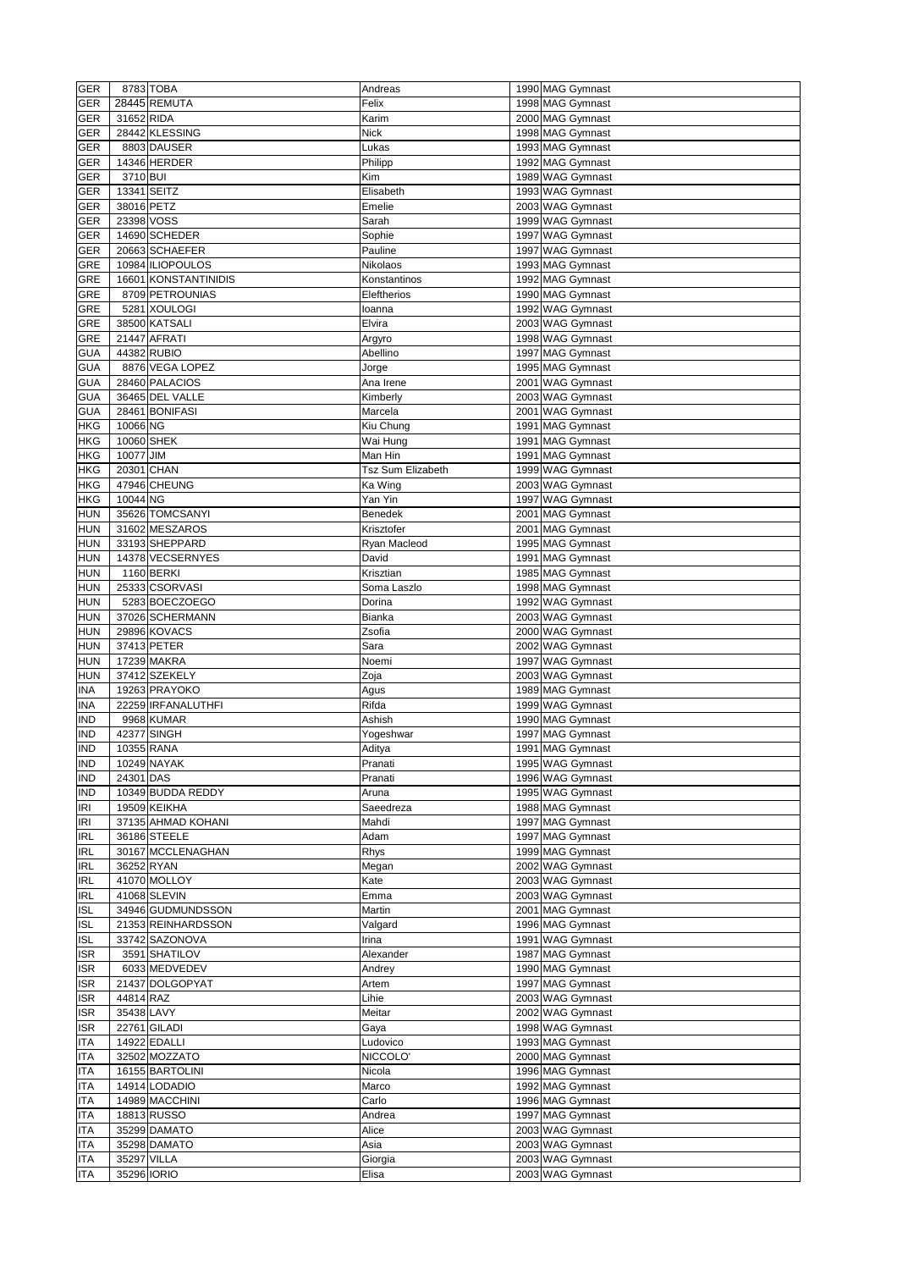| <b>GER</b>               |            | 8783 TOBA                  | Andreas                  | 1990 MAG Gymnast                     |
|--------------------------|------------|----------------------------|--------------------------|--------------------------------------|
|                          |            |                            |                          |                                      |
| <b>GER</b>               |            | 28445 REMUTA               | Felix                    | 1998 MAG Gymnast                     |
| <b>GER</b>               | 31652 RIDA |                            | Karim                    | 2000 MAG Gymnast                     |
| <b>GER</b>               |            | 28442 KLESSING             | <b>Nick</b>              | 1998 MAG Gymnast                     |
|                          |            | 8803 DAUSER                |                          |                                      |
| <b>GER</b>               |            |                            | Lukas                    | 1993 MAG Gymnast                     |
| <b>GER</b>               |            | 14346 HERDER               | Philipp                  | 1992 MAG Gymnast                     |
| <b>GER</b>               | 3710 BUI   |                            | Kim                      | 1989 WAG Gymnast                     |
| <b>GER</b>               |            | 13341 SEITZ                | Elisabeth                | 1993 WAG Gymnast                     |
|                          |            |                            |                          |                                      |
| <b>GER</b>               | 38016 PETZ |                            | Emelie                   | 2003 WAG Gymnast                     |
| <b>GER</b>               | 23398 VOSS |                            | Sarah                    | 1999 WAG Gymnast                     |
| <b>GER</b>               |            | 14690 SCHEDER              | Sophie                   | 1997 WAG Gymnast                     |
| GER                      |            | 20663 SCHAEFER             | Pauline                  | 1997 WAG Gymnast                     |
|                          |            | 10984 ILIOPOULOS           |                          |                                      |
| <b>GRE</b>               |            |                            | Nikolaos                 | 1993 MAG Gymnast                     |
| <b>GRE</b>               |            | 16601 KONSTANTINIDIS       | Konstantinos             | 1992 MAG Gymnast                     |
| <b>GRE</b>               |            | 8709 PETROUNIAS            | Eleftherios              | 1990 MAG Gymnast                     |
| <b>GRE</b>               |            | 5281 XOULOGI               | loanna                   | 1992 WAG Gymnast                     |
| <b>GRE</b>               |            | 38500 KATSALI              | Elvira                   | 2003 WAG Gymnast                     |
|                          |            |                            |                          |                                      |
| <b>GRE</b>               |            | 21447 AFRATI               | Argyro                   | 1998 WAG Gymnast                     |
| <b>GUA</b>               |            | 44382 RUBIO                | Abellino                 | 1997 MAG Gymnast                     |
| <b>GUA</b>               |            | 8876 VEGA LOPEZ            | Jorge                    | 1995 MAG Gymnast                     |
| <b>GUA</b>               |            | 28460 PALACIOS             | Ana Irene                | 2001 WAG Gymnast                     |
|                          |            |                            |                          |                                      |
| <b>GUA</b>               |            | 36465 DEL VALLE            | Kimberly                 | 2003 WAG Gymnast                     |
| <b>GUA</b>               |            | 28461 BONIFASI             | Marcela                  | 2001 WAG Gymnast                     |
| <b>HKG</b>               | 10066 NG   |                            | Kiu Chung                | 1991 MAG Gymnast                     |
| <b>HKG</b>               |            | 10060 SHEK                 | $\overline{W}$ ai Hung   | 1991 MAG Gymnast                     |
| <b>HKG</b>               | 10077 JIM  |                            | Man Hin                  | 1991 MAG Gymnast                     |
|                          |            |                            |                          |                                      |
| <b>HKG</b>               |            | 20301 CHAN                 | <b>Tsz Sum Elizabeth</b> | 1999 WAG Gymnast                     |
| <b>HKG</b>               |            | 47946 CHEUNG               | Ka Wing                  | 2003 WAG Gymnast                     |
| <b>HKG</b>               | 10044 NG   |                            | Yan Yin                  | 1997 WAG Gymnast                     |
| <b>HUN</b>               |            | 35626 TOMCSANYI            | Benedek                  | 2001 MAG Gymnast                     |
|                          |            | 31602 MESZAROS             |                          |                                      |
| <b>HUN</b>               |            |                            | Krisztofer               | 2001 MAG Gymnast                     |
| <b>HUN</b>               |            | 33193 SHEPPARD             | Ryan Macleod             | 1995 MAG Gymnast                     |
| <b>HUN</b>               |            | 14378 VECSERNYES           | David                    | 1991 MAG Gymnast                     |
| <b>HUN</b>               |            | 1160 BERKI                 | Krisztian                | 1985 MAG Gymnast                     |
| <b>HUN</b>               |            | 25333 CSORVASI             | Soma Laszlo              | 1998 MAG Gymnast                     |
| <b>HUN</b>               |            | 5283 BOECZOEGO             | Dorina                   | 1992 WAG Gymnast                     |
|                          |            |                            |                          |                                      |
| <b>HUN</b>               |            | 37026 SCHERMANN            | Bianka                   | 2003 WAG Gymnast                     |
| <b>HUN</b>               |            | 29896 KOVACS               | Zsofia                   | 2000 WAG Gymnast                     |
| <b>HUN</b>               |            | 37413 PETER                | Sara                     | 2002 WAG Gymnast                     |
| <b>HUN</b>               |            | 17239 MAKRA                | Noemi                    | 1997 WAG Gymnast                     |
|                          |            | 37412 SZEKELY              | Zoja                     | 2003 WAG Gymnast                     |
|                          |            |                            |                          |                                      |
| <b>HUN</b>               |            |                            |                          |                                      |
| <b>INA</b>               |            | 19263 PRAYOKO              | Agus                     | 1989 MAG Gymnast                     |
| <b>INA</b>               |            | 22259 IRFANALUTHFI         | Rifda                    | 1999 WAG Gymnast                     |
| <b>IND</b>               |            | 9968 KUMAR                 | Ashish                   | 1990 MAG Gymnast                     |
| <b>IND</b>               |            | 42377 SINGH                | Yogeshwar                | 1997 MAG Gymnast                     |
|                          |            |                            |                          |                                      |
| <b>IND</b>               |            | 10355 RANA                 | Aditya                   | 1991 MAG Gymnast                     |
| <b>IND</b>               |            | 10249 NAYAK                | Pranati                  | 1995 WAG Gymnast                     |
| <b>IND</b>               | 24301 DAS  |                            | Pranati                  | 1996 WAG Gymnast                     |
| <b>IND</b>               |            | 10349 BUDDA REDDY          | Aruna                    | 1995 WAG Gymnast                     |
| <b>IRI</b>               |            | 19509 KEIKHA               | Saeedreza                | 1988 MAG Gymnast                     |
| <b>IRI</b>               |            | 37135 AHMAD KOHANI         | Mahdi                    | 1997 MAG Gymnast                     |
|                          |            |                            |                          |                                      |
| <b>IRL</b>               |            | 36186 STEELE               | Adam                     | 1997 MAG Gymnast                     |
| <b>IRL</b>               |            | 30167 MCCLENAGHAN          | Rhys                     | 1999 MAG Gymnast                     |
| <b>IRL</b>               | 36252 RYAN |                            | Megan                    | 2002 WAG Gymnast                     |
| <b>IRL</b>               |            | 41070 MOLLOY               | Kate                     | 2003 WAG Gymnast                     |
| <b>IRL</b>               |            | 41068 SLEVIN               | Emma                     | 2003 WAG Gymnast                     |
|                          |            |                            |                          |                                      |
| <b>ISL</b>               |            | 34946 GUDMUNDSSON          | Martin                   | 2001 MAG Gymnast                     |
| <b>ISL</b>               |            | 21353 REINHARDSSON         | Valgard                  | 1996 MAG Gymnast                     |
| <b>ISL</b>               |            | 33742 SAZONOVA             | Irina                    | 1991 WAG Gymnast                     |
| <b>ISR</b>               |            | 3591 SHATILOV              | Alexander                | 1987 MAG Gymnast                     |
| <b>ISR</b>               |            | 6033 MEDVEDEV              | Andrey                   | 1990 MAG Gymnast                     |
|                          |            | 21437 DOLGOPYAT            |                          |                                      |
| <b>ISR</b>               |            |                            | Artem                    | 1997 MAG Gymnast                     |
| <b>ISR</b>               | 44814 RAZ  |                            | Lihie                    | 2003 WAG Gymnast                     |
| <b>ISR</b>               | 35438 LAVY |                            | Meitar                   | 2002 WAG Gymnast                     |
| <b>ISR</b>               |            | 22761 GILADI               | Gaya                     | 1998 WAG Gymnast                     |
| <b>ITA</b>               |            | 14922 EDALLI               | Ludovico                 | 1993 MAG Gymnast                     |
| <b>ITA</b>               |            | 32502 MOZZATO              | NICCOLO'                 |                                      |
|                          |            |                            |                          | 2000 MAG Gymnast                     |
| <b>ITA</b>               |            | 16155 BARTOLINI            | Nicola                   | 1996 MAG Gymnast                     |
| <b>ITA</b>               |            | 14914 LODADIO              | Marco                    | 1992 MAG Gymnast                     |
| <b>ITA</b>               |            | 14989 MACCHINI             | Carlo                    | 1996 MAG Gymnast                     |
| <b>ITA</b>               |            | 18813 RUSSO                | Andrea                   | 1997 MAG Gymnast                     |
| <b>ITA</b>               |            | 35299 DAMATO               | Alice                    | 2003 WAG Gymnast                     |
|                          |            |                            |                          |                                      |
| <b>ITA</b>               |            | 35298 DAMATO               | Asia                     | 2003 WAG Gymnast                     |
| <b>ITA</b><br><b>ITA</b> |            | 35297 VILLA<br>35296 IORIO | Giorgia<br>Elisa         | 2003 WAG Gymnast<br>2003 WAG Gymnast |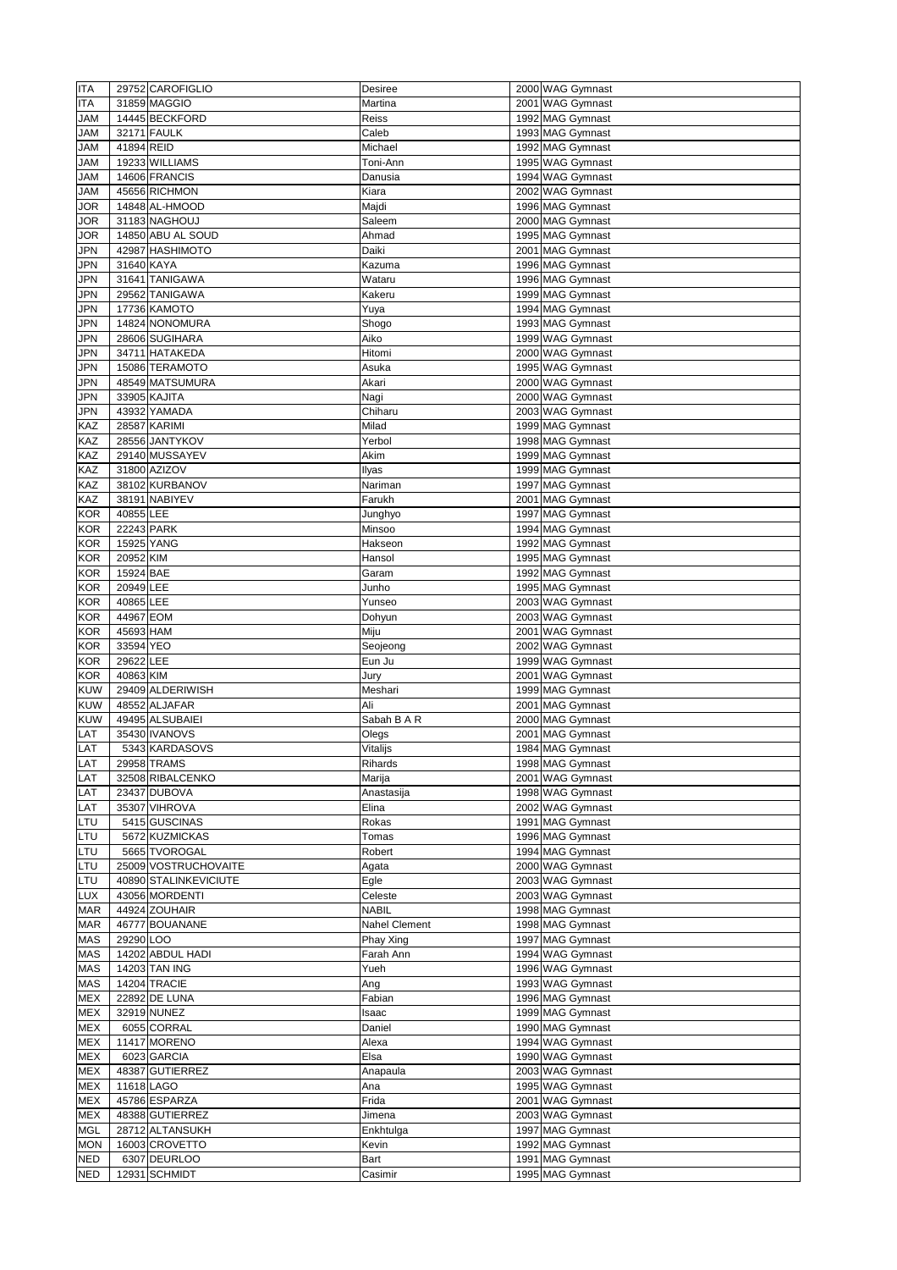| <b>ITA</b> |            | 29752 CAROFIGLIO      | <b>Desiree</b>       | 2000 WAG Gymnast |
|------------|------------|-----------------------|----------------------|------------------|
| <b>ITA</b> |            | 31859 MAGGIO          | Martina              | 2001 WAG Gymnast |
| <b>JAM</b> |            | 14445 BECKFORD        | Reiss                | 1992 MAG Gymnast |
|            |            |                       |                      |                  |
| <b>JAM</b> |            | 32171 FAULK           | Caleb                | 1993 MAG Gymnast |
| <b>JAM</b> | 41894 REID |                       | Michael              | 1992 MAG Gymnast |
| <b>JAM</b> |            | 19233 WILLIAMS        | Toni-Ann             | 1995 WAG Gymnast |
| <b>JAM</b> |            | 14606 FRANCIS         | Danusia              | 1994 WAG Gymnast |
| <b>JAM</b> |            | 45656 RICHMON         | Kiara                | 2002 WAG Gymnast |
| <b>JOR</b> |            | 14848 AL-HMOOD        | Majdi                | 1996 MAG Gymnast |
|            |            |                       |                      |                  |
| <b>JOR</b> |            | 31183 NAGHOUJ         | Saleem               | 2000 MAG Gymnast |
| <b>JOR</b> |            | 14850 ABU AL SOUD     | Ahmad                | 1995 MAG Gymnast |
| <b>JPN</b> |            | 42987 HASHIMOTO       | Daiki                | 2001 MAG Gymnast |
| <b>JPN</b> | 31640 KAYA |                       | Kazuma               | 1996 MAG Gymnast |
| <b>JPN</b> |            | 31641 TANIGAWA        | Wataru               | 1996 MAG Gymnast |
| <b>JPN</b> |            | 29562 TANIGAWA        | Kakeru               | 1999 MAG Gymnast |
| <b>JPN</b> |            | 17736 KAMOTO          |                      | 1994 MAG Gymnast |
|            |            |                       | Yuya                 |                  |
| <b>JPN</b> |            | 14824 NONOMURA        | Shogo                | 1993 MAG Gymnast |
| <b>JPN</b> |            | 28606 SUGIHARA        | Aiko                 | 1999 WAG Gymnast |
| <b>JPN</b> |            | 34711 HATAKEDA        | Hitomi               | 2000 WAG Gymnast |
| <b>JPN</b> |            | 15086 TERAMOTO        | Asuka                | 1995 WAG Gymnast |
| <b>JPN</b> |            | 48549 MATSUMURA       | Akari                | 2000 WAG Gymnast |
| <b>JPN</b> |            | 33905 KAJITA          | Nagi                 | 2000 WAG Gymnast |
| <b>JPN</b> |            | 43932 YAMADA          | Chiharu              | 2003 WAG Gymnast |
|            |            |                       |                      |                  |
| KAZ        |            | 28587 KARIMI          | Milad                | 1999 MAG Gymnast |
| KAZ        |            | 28556 JANTYKOV        | Yerbol               | 1998 MAG Gymnast |
| KAZ        |            | 29140 MUSSAYEV        | Akim                 | 1999 MAG Gymnast |
| KAZ        |            | 31800 AZIZOV          | Ilyas                | 1999 MAG Gymnast |
| <b>KAZ</b> |            | 38102 KURBANOV        | Nariman              | 1997 MAG Gymnast |
| KAZ        |            | 38191 NABIYEV         | Farukh               | 2001 MAG Gymnast |
| <b>KOR</b> | 40855 LEE  |                       | Junghyo              | 1997 MAG Gymnast |
| <b>KOR</b> | 22243 PARK |                       | Minsoo               | 1994 MAG Gymnast |
|            |            |                       |                      |                  |
| <b>KOR</b> | 15925 YANG |                       | Hakseon              | 1992 MAG Gymnast |
| <b>KOR</b> | 20952 KIM  |                       | Hansol               | 1995 MAG Gymnast |
| <b>KOR</b> | 15924 BAE  |                       | Garam                | 1992 MAG Gymnast |
| <b>KOR</b> | 20949 LEE  |                       | Junho                | 1995 MAG Gymnast |
| <b>KOR</b> | 40865LEE   |                       | Yunseo               | 2003 WAG Gymnast |
| <b>KOR</b> | 44967 EOM  |                       | Dohyun               | 2003 WAG Gymnast |
| <b>KOR</b> | 45693 HAM  |                       | Miju                 | 2001 WAG Gymnast |
| <b>KOR</b> | 33594 YEO  |                       |                      | 2002 WAG Gymnast |
|            |            |                       | Seojeong             |                  |
| <b>KOR</b> | 29622 LEE  |                       | Eun Ju               | 1999 WAG Gymnast |
| <b>KOR</b> | 40863 KIM  |                       | Jury                 | 2001 WAG Gymnast |
| <b>KUW</b> |            | 29409 ALDERIWISH      | Meshari              | 1999 MAG Gymnast |
| <b>KUW</b> |            | 48552 ALJAFAR         | Ali                  | 2001 MAG Gymnast |
| <b>KUW</b> |            | 49495 ALSUBAIEI       | Sabah B A R          | 2000 MAG Gymnast |
| LAT        |            | 35430 IVANOVS         | Olegs                | 2001 MAG Gymnast |
| LAT        |            | 5343 KARDASOVS        | Vitalijs             | 1984 MAG Gymnast |
| LAT        |            | 29958 TRAMS           | <b>Rihards</b>       | 1998 MAG Gymnast |
|            |            |                       |                      |                  |
| LAT        |            | 32508 RIBALCENKO      | Marija               | 2001 WAG Gymnast |
| LAT        |            | 23437 DUBOVA          | Anastasija           | 1998 WAG Gymnast |
| LAT        |            | 35307 VIHROVA         | Elina                | 2002 WAG Gymnast |
| LTU        |            | 5415 GUSCINAS         | Rokas                | 1991 MAG Gymnast |
| LTU        |            | 5672 KUZMICKAS        | Tomas                | 1996 MAG Gymnast |
| LTU        |            | 5665 TVOROGAL         | Robert               | 1994 MAG Gymnast |
| LTU        |            | 25009 VOSTRUCHOVAITE  | Agata                | 2000 WAG Gymnast |
| LTU        |            | 40890 STALINKEVICIUTE |                      | 2003 WAG Gymnast |
|            |            |                       | Egle                 |                  |
| <b>LUX</b> |            | 43056 MORDENTI        | Celeste              | 2003 WAG Gymnast |
|            |            |                       |                      |                  |
| <b>MAR</b> |            | 44924 ZOUHAIR         | <b>NABIL</b>         | 1998 MAG Gymnast |
| <b>MAR</b> |            | 46777 BOUANANE        | <b>Nahel Clement</b> | 1998 MAG Gymnast |
| <b>MAS</b> | 29290LOO   |                       | Phay Xing            | 1997 MAG Gymnast |
| <b>MAS</b> |            | 14202 ABDUL HADI      | Farah Ann            |                  |
|            |            |                       |                      | 1994 WAG Gymnast |
| <b>MAS</b> |            | 14203 TAN ING         | Yueh                 | 1996 WAG Gymnast |
| <b>MAS</b> |            | 14204 TRACIE          | Ang                  | 1993 WAG Gymnast |
| <b>MEX</b> |            | 22892 DE LUNA         | Fabian               | 1996 MAG Gymnast |
| <b>MEX</b> |            | 32919 NUNEZ           | Isaac                | 1999 MAG Gymnast |
| <b>MEX</b> |            | 6055 CORRAL           | Daniel               | 1990 MAG Gymnast |
| <b>MEX</b> |            | 11417 MORENO          | Alexa                | 1994 WAG Gymnast |
| <b>MEX</b> |            | 6023 GARCIA           | Elsa                 | 1990 WAG Gymnast |
|            |            |                       |                      |                  |
| <b>MEX</b> |            | 48387 GUTIERREZ       | Anapaula             | 2003 WAG Gymnast |
| <b>MEX</b> | 11618 LAGO |                       | Ana                  | 1995 WAG Gymnast |
| <b>MEX</b> |            | 45786 ESPARZA         | Frida                | 2001 WAG Gymnast |
| <b>MEX</b> |            | 48388 GUTIERREZ       | Jimena               | 2003 WAG Gymnast |
| <b>MGL</b> |            | 28712 ALTANSUKH       | Enkhtulga            | 1997 MAG Gymnast |
| <b>MON</b> |            | 16003 CROVETTO        | Kevin                | 1992 MAG Gymnast |
| <b>NED</b> |            | 6307 DEURLOO          | Bart                 | 1991 MAG Gymnast |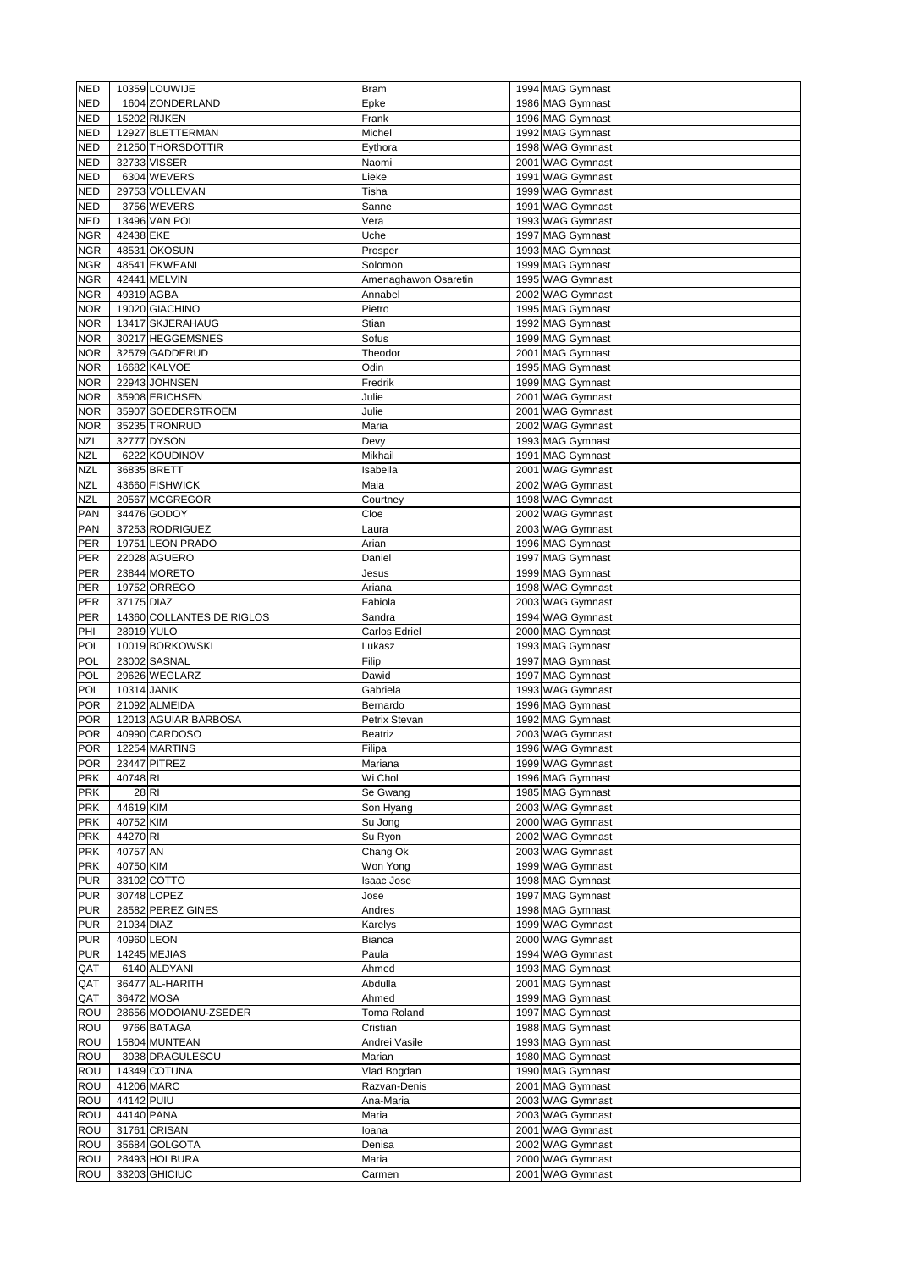| <b>NED</b><br><b>NED</b> |             | 10359 LOUWIJE             | Bram                 | 1994 MAG Gymnast |
|--------------------------|-------------|---------------------------|----------------------|------------------|
|                          |             | 1604 ZONDERLAND           | Epke                 | 1986 MAG Gymnast |
|                          |             |                           |                      |                  |
| <b>NED</b>               |             | 15202 RIJKEN              | Frank                | 1996 MAG Gymnast |
| <b>NED</b>               |             | 12927 BLETTERMAN          | Michel               | 1992 MAG Gymnast |
| <b>NED</b>               |             | 21250 THORSDOTTIR         | Eythora              | 1998 WAG Gymnast |
| <b>NED</b>               |             | 32733 VISSER              | Naomi                | 2001 WAG Gymnast |
| <b>NED</b>               |             | 6304 WEVERS               | Lieke                | 1991 WAG Gymnast |
| <b>NED</b>               |             | 29753 VOLLEMAN            | Tisha                | 1999 WAG Gymnast |
| <b>NED</b>               |             | 3756 WEVERS               |                      | 1991 WAG Gymnast |
|                          |             |                           | Sanne                |                  |
| <b>NED</b>               |             | 13496 VAN POL             | Vera                 | 1993 WAG Gymnast |
| <b>NGR</b>               | 42438 EKE   |                           | Uche                 | 1997 MAG Gymnast |
| <b>NGR</b>               |             | 48531 OKOSUN              | Prosper              | 1993 MAG Gymnast |
| <b>NGR</b>               |             | 48541 EKWEANI             | Solomon              | 1999 MAG Gymnast |
| <b>NGR</b>               |             | 42441 MELVIN              | Amenaghawon Osaretin | 1995 WAG Gymnast |
| <b>NGR</b>               | 49319 AGBA  |                           | Annabel              | 2002 WAG Gymnast |
| <b>NOR</b>               |             | 19020 GIACHINO            | Pietro               | 1995 MAG Gymnast |
| <b>NOR</b>               |             | 13417 SKJERAHAUG          | Stian                | 1992 MAG Gymnast |
|                          |             |                           |                      |                  |
| <b>NOR</b>               |             | 30217 HEGGEMSNES          | Sofus                | 1999 MAG Gymnast |
| <b>NOR</b>               |             | 32579 GADDERUD            | Theodor              | 2001 MAG Gymnast |
| <b>NOR</b>               |             | 16682 KALVOE              | Odin                 | 1995 MAG Gymnast |
| <b>NOR</b>               |             | 22943 JOHNSEN             | Fredrik              | 1999 MAG Gymnast |
| <b>NOR</b>               |             | 35908 ERICHSEN            | Julie                | 2001 WAG Gymnast |
| <b>NOR</b>               |             | 35907 SOEDERSTROEM        | Julie                | 2001 WAG Gymnast |
| <b>NOR</b>               |             | 35235 TRONRUD             | Maria                | 2002 WAG Gymnast |
| <b>NZL</b>               |             | 32777 DYSON               | Devy                 | 1993 MAG Gymnast |
| <b>NZL</b>               |             | 6222 KOUDINOV             | Mikhail              | 1991 MAG Gymnast |
| <b>NZL</b>               |             | 36835 BRETT               | Isabella             | 2001 WAG Gymnast |
|                          |             |                           |                      |                  |
| <b>NZL</b>               |             | 43660 FISHWICK            | Maia                 | 2002 WAG Gymnast |
| <b>NZL</b>               |             | 20567 MCGREGOR            | Courtney             | 1998 WAG Gymnast |
| <b>PAN</b>               |             | 34476 GODOY               | Cloe                 | 2002 WAG Gymnast |
| <b>PAN</b>               |             | 37253 RODRIGUEZ           | Laura                | 2003 WAG Gymnast |
| PER                      |             | 19751 LEON PRADO          | Arian                | 1996 MAG Gymnast |
| PER                      |             | 22028 AGUERO              | Daniel               | 1997 MAG Gymnast |
| PER                      |             | 23844 MORETO              | Jesus                | 1999 MAG Gymnast |
| PER                      |             | 19752 ORREGO              | Ariana               | 1998 WAG Gymnast |
| PER                      | 37175 DIAZ  |                           | Fabiola              | 2003 WAG Gymnast |
|                          |             |                           |                      |                  |
| PER                      |             | 14360 COLLANTES DE RIGLOS | Sandra               | 1994 WAG Gymnast |
| PHI                      | 28919 YULO  |                           | <b>Carlos Edriel</b> | 2000 MAG Gymnast |
| <b>POL</b>               |             | 10019 BORKOWSKI           | Lukasz               | 1993 MAG Gymnast |
| <b>POL</b>               |             | 23002 SASNAL              | Filip                | 1997 MAG Gymnast |
| <b>POL</b>               |             | 29626 WEGLARZ             | Dawid                | 1997 MAG Gymnast |
| <b>POL</b>               |             |                           |                      | 1993 WAG Gymnast |
|                          | 10314 JANIK |                           | Gabriela             |                  |
| <b>POR</b>               |             |                           | Bernardo             |                  |
|                          |             | 21092 ALMEIDA             |                      | 1996 MAG Gymnast |
| <b>POR</b>               |             | 12013 AGUIAR BARBOSA      | Petrix Stevan        | 1992 MAG Gymnast |
| <b>POR</b>               |             | 40990 CARDOSO             | <b>Beatriz</b>       | 2003 WAG Gymnast |
| <b>POR</b>               |             | 12254 MARTINS             | Filipa               | 1996 WAG Gymnast |
| <b>POR</b>               |             | 23447 PITREZ              | Mariana              | 1999 WAG Gymnast |
| <b>PRK</b>               | 40748 RI    |                           | Wi Chol              | 1996 MAG Gymnast |
| <b>PRK</b>               | 28 R        |                           | Se Gwang             | 1985 MAG Gymnast |
| <b>PRK</b>               | 44619 KIM   |                           | Son Hyang            | 2003 WAG Gymnast |
| <b>PRK</b>               | 40752 KIM   |                           | Su Jong              | 2000 WAG Gymnast |
| <b>PRK</b>               | 44270 RI    |                           | Su Ryon              | 2002 WAG Gymnast |
| <b>PRK</b>               | 40757 AN    |                           | Chang Ok             | 2003 WAG Gymnast |
| <b>PRK</b>               | 40750 KIM   |                           |                      |                  |
|                          |             |                           | Won Yong             | 1999 WAG Gymnast |
| <b>PUR</b>               |             | 33102 COTTO               | Isaac Jose           | 1998 MAG Gymnast |
| <b>PUR</b>               |             | 30748 LOPEZ               | Jose                 | 1997 MAG Gymnast |
| <b>PUR</b>               |             | 28582 PEREZ GINES         | Andres               | 1998 MAG Gymnast |
| <b>PUR</b>               | 21034 DIAZ  |                           | Karelys              | 1999 WAG Gymnast |
| <b>PUR</b>               | 40960 LEON  |                           | <b>Bianca</b>        | 2000 WAG Gymnast |
| <b>PUR</b>               |             | 14245 MEJIAS              | Paula                | 1994 WAG Gymnast |
| QAT                      |             | 6140 ALDYANI              | Ahmed                | 1993 MAG Gymnast |
| QAT                      |             | 36477 AL-HARITH           | Abdulla              | 2001 MAG Gymnast |
| QAT                      |             | 36472 MOSA                | Ahmed                | 1999 MAG Gymnast |
| ROU                      |             | 28656 MODOIANU-ZSEDER     | <b>Toma Roland</b>   | 1997 MAG Gymnast |
|                          |             |                           |                      |                  |
| <b>ROU</b>               |             | 9766 BATAGA               | Cristian             | 1988 MAG Gymnast |
| ROU                      |             | 15804 MUNTEAN             | Andrei Vasile        | 1993 MAG Gymnast |
| <b>ROU</b>               |             | 3038 DRAGULESCU           | Marian               | 1980 MAG Gymnast |
| ROU                      |             | 14349 COTUNA              | Vlad Bogdan          | 1990 MAG Gymnast |
| ROU                      |             | 41206 MARC                | Razvan-Denis         | 2001 MAG Gymnast |
| ROU                      | 44142 PUIU  |                           | Ana-Maria            | 2003 WAG Gymnast |
| ROU                      |             | 44140 PANA                | Maria                | 2003 WAG Gymnast |
| <b>ROU</b>               |             | 31761 CRISAN              | loana                | 2001 WAG Gymnast |
| ROU                      |             | 35684 GOLGOTA             | Denisa               | 2002 WAG Gymnast |
| ROU                      |             | 28493 HOLBURA             | Maria                | 2000 WAG Gymnast |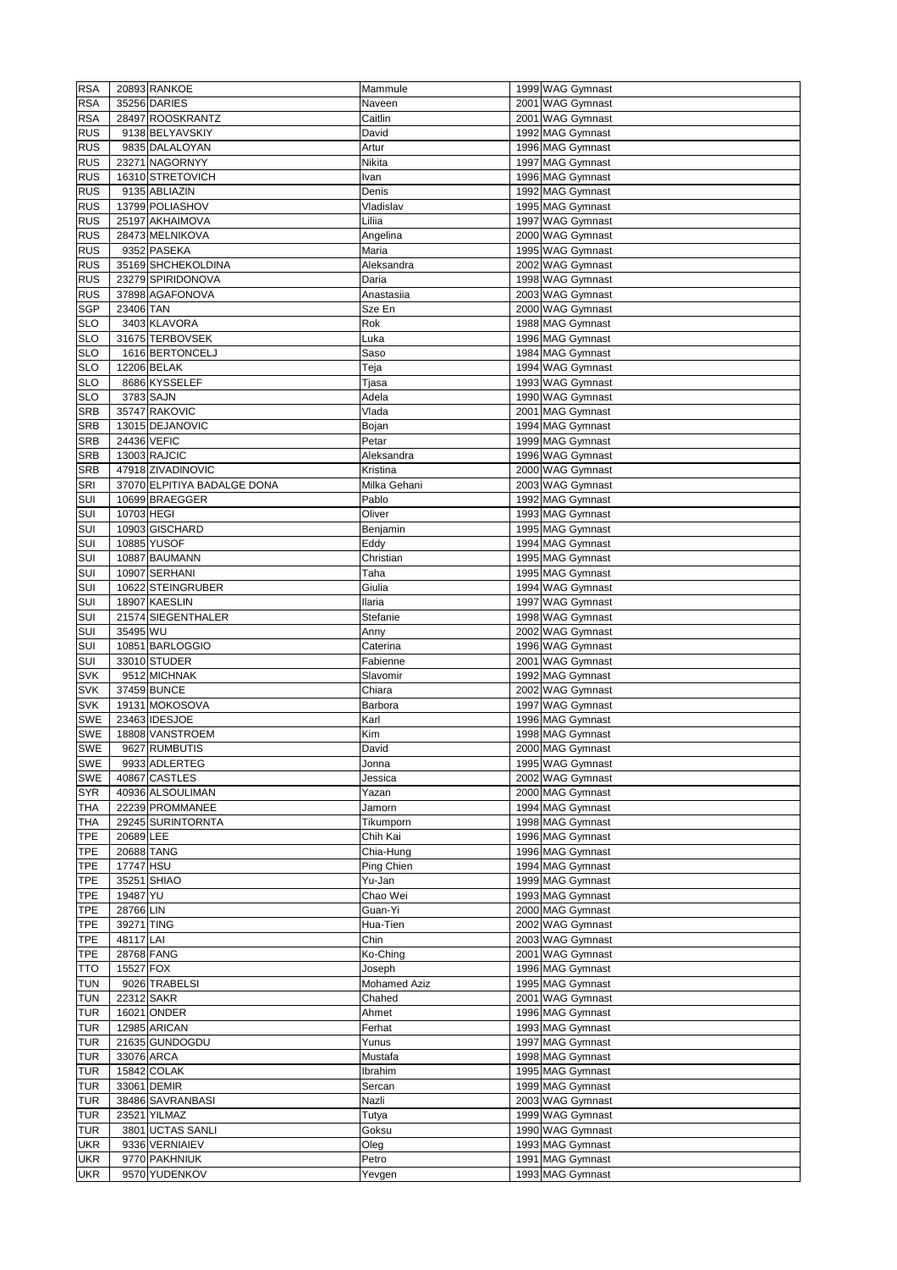| <b>RSA</b>               |            | 20893 RANKOE                   | Mammule             | 1999 WAG Gymnast                     |
|--------------------------|------------|--------------------------------|---------------------|--------------------------------------|
| <b>RSA</b>               |            | 35256 DARIES                   | Naveen              | 2001 WAG Gymnast                     |
| <b>RSA</b>               |            | 28497 ROOSKRANTZ               | Caitlin             |                                      |
|                          |            |                                |                     | 2001 WAG Gymnast                     |
| <b>RUS</b>               |            | 9138 BELYAVSKIY                | David               | 1992 MAG Gymnast                     |
| <b>RUS</b>               |            | 9835 DALALOYAN                 | Artur               | 1996 MAG Gymnast                     |
| <b>RUS</b>               |            | 23271 NAGORNYY                 | Nikita              | 1997 MAG Gymnast                     |
| <b>RUS</b>               |            | 16310 STRETOVICH               | Ivan                | 1996 MAG Gymnast                     |
| <b>RUS</b>               |            | 9135 ABLIAZIN                  | Denis               | 1992 MAG Gymnast                     |
| <b>RUS</b>               |            | 13799 POLIASHOV                | Vladislav           | 1995 MAG Gymnast                     |
|                          |            |                                |                     |                                      |
| <b>RUS</b>               |            | 25197 AKHAIMOVA                | Liliia              | 1997 WAG Gymnast                     |
| <b>RUS</b>               |            | 28473 MELNIKOVA                | Angelina            | 2000 WAG Gymnast                     |
| <b>RUS</b>               |            | 9352 PASEKA                    | Maria               | 1995 WAG Gymnast                     |
| <b>RUS</b>               |            | 35169 SHCHEKOLDINA             | Aleksandra          | 2002 WAG Gymnast                     |
| <b>RUS</b>               |            | 23279 SPIRIDONOVA              | Daria               | 1998 WAG Gymnast                     |
| <b>RUS</b>               |            | 37898 AGAFONOVA                | Anastasiia          | 2003 WAG Gymnast                     |
| <b>SGP</b>               | 23406 TAN  |                                | Sze En              | 2000 WAG Gymnast                     |
| <b>SLO</b>               |            | 3403 KLAVORA                   | Rok                 | 1988 MAG Gymnast                     |
|                          |            |                                |                     |                                      |
| <b>SLO</b>               |            | 31675 TERBOVSEK                | Luka                | 1996 MAG Gymnast                     |
| <b>SLO</b>               |            | 1616 BERTONCELJ                | Saso                | 1984 MAG Gymnast                     |
| <b>SLO</b>               |            | 12206 BELAK                    | Teja                | 1994 WAG Gymnast                     |
| <b>SLO</b>               |            | 8686 KYSSELEF                  | Tjasa               | 1993 WAG Gymnast                     |
| <b>SLO</b>               |            | 3783 SAJN                      | Adela               | 1990 WAG Gymnast                     |
| <b>SRB</b>               |            | 35747 RAKOVIC                  | Vlada               | 2001 MAG Gymnast                     |
| <b>SRB</b>               |            | 13015 DEJANOVIC                | Bojan               | 1994 MAG Gymnast                     |
|                          |            |                                |                     |                                      |
| <b>SRB</b>               |            | 24436 VEFIC                    | Petar               | 1999 MAG Gymnast                     |
| <b>SRB</b>               |            | 13003 RAJCIC                   | Aleksandra          | 1996 WAG Gymnast                     |
| <b>SRB</b>               |            | 47918 ZIVADINOVIC              | Kristina            | 2000 WAG Gymnast                     |
| <b>SRI</b>               |            | 37070 ELPITIYA BADALGE DONA    | Milka Gehani        | 2003 WAG Gymnast                     |
| SUI                      |            | 10699 BRAEGGER                 | Pablo               | 1992 MAG Gymnast                     |
| SUI                      | 10703 HEGI |                                | Oliver              | 1993 MAG Gymnast                     |
| SUI                      |            | 10903 GISCHARD                 | Benjamin            | 1995 MAG Gymnast                     |
| SUI                      |            | 10885 YUSOF                    | Eddy                | 1994 MAG Gymnast                     |
|                          |            |                                |                     |                                      |
| SUI                      |            | 10887 BAUMANN                  | Christian           | 1995 MAG Gymnast                     |
| SUI                      |            | 10907 SERHANI                  | Taha                | 1995 MAG Gymnast                     |
| SUI                      |            | 10622 STEINGRUBER              | Giulia              | 1994 WAG Gymnast                     |
| SUI                      |            | 18907 KAESLIN                  | <b>Ilaria</b>       | 1997 WAG Gymnast                     |
| SUI                      |            | 21574 SIEGENTHALER             | Stefanie            | 1998 WAG Gymnast                     |
| SUI                      | 35495 WU   |                                | Anny                | 2002 WAG Gymnast                     |
| SUI                      |            | 10851 BARLOGGIO                | Caterina            | 1996 WAG Gymnast                     |
|                          |            |                                |                     |                                      |
| SUI                      |            | 33010 STUDER                   | Fabienne            | 2001 WAG Gymnast                     |
|                          |            |                                |                     |                                      |
| <b>SVK</b>               |            | 9512 MICHNAK                   | Slavomir            | 1992 MAG Gymnast                     |
| <b>SVK</b>               |            | 37459 BUNCE                    | Chiara              | 2002 WAG Gymnast                     |
| <b>SVK</b>               |            | 19131 MOKOSOVA                 | Barbora             | 1997 WAG Gymnast                     |
| <b>SWE</b>               |            | 23463 IDESJOE                  | Karl                | 1996 MAG Gymnast                     |
| <b>SWE</b>               |            | 18808 VANSTROEM                | Kim                 |                                      |
|                          |            |                                |                     | 1998 MAG Gymnast                     |
| <b>SWE</b>               |            | 9627 RUMBUTIS                  | David               | 2000 MAG Gymnast                     |
| <b>SWE</b>               |            | 9933 ADLERTEG                  | Jonna               | 1995 WAG Gymnast                     |
| <b>SWE</b>               |            | 40867 CASTLES                  | Jessica             | 2002 WAG Gymnast                     |
| <b>SYR</b>               |            | 40936 ALSOULIMAN               | Yazan               | 2000 MAG Gymnast                     |
| <b>THA</b>               |            | 22239 PROMMANEE                | Jamorn              | 1994 MAG Gymnast                     |
| <b>THA</b>               |            | 29245 SURINTORNTA              | Tikumporn           | 1998 MAG Gymnast                     |
| <b>TPE</b>               | 20689 LEE  |                                | Chih Kai            | 1996 MAG Gymnast                     |
| <b>TPE</b>               | 20688 TANG |                                | Chia-Hung           | 1996 MAG Gymnast                     |
|                          |            |                                |                     |                                      |
| <b>TPE</b>               | 17747 HSU  |                                | Ping Chien          | 1994 MAG Gymnast                     |
| <b>TPE</b>               |            | 35251 SHIAO                    | Yu-Jan              | 1999 MAG Gymnast                     |
| <b>TPE</b>               | 19487 YU   |                                | Chao Wei            | 1993 MAG Gymnast                     |
| <b>TPE</b>               | 28766 LIN  |                                | Guan-Yi             | 2000 MAG Gymnast                     |
| <b>TPE</b>               | 39271 TING |                                | Hua-Tien            | 2002 WAG Gymnast                     |
| <b>TPE</b>               | 48117 LAI  |                                | Chin                | 2003 WAG Gymnast                     |
| <b>TPE</b>               | 28768 FANG |                                | Ko-Ching            | 2001 WAG Gymnast                     |
| <b>TTO</b>               | 15527 FOX  |                                | Joseph              | 1996 MAG Gymnast                     |
|                          |            |                                |                     |                                      |
| <b>TUN</b>               |            | 9026 TRABELSI                  | <b>Mohamed Aziz</b> | 1995 MAG Gymnast                     |
| <b>TUN</b>               | 22312 SAKR |                                | Chahed              | 2001 WAG Gymnast                     |
| <b>TUR</b>               |            | 16021 ONDER                    | Ahmet               | 1996 MAG Gymnast                     |
| <b>TUR</b>               |            | 12985 ARICAN                   | Ferhat              | 1993 MAG Gymnast                     |
| <b>TUR</b>               |            | 21635 GUNDOGDU                 | Yunus               | 1997 MAG Gymnast                     |
| <b>TUR</b>               |            | 33076 ARCA                     | Mustafa             | 1998 MAG Gymnast                     |
| <b>TUR</b>               |            | 15842 COLAK                    | Ibrahim             | 1995 MAG Gymnast                     |
| <b>TUR</b>               |            | 33061 DEMIR                    | Sercan              | 1999 MAG Gymnast                     |
|                          |            |                                |                     |                                      |
| <b>TUR</b>               |            | 38486 SAVRANBASI               | Nazli               | 2003 WAG Gymnast                     |
| <b>TUR</b>               |            | 23521 YILMAZ                   | Tutya               | 1999 WAG Gymnast                     |
| <b>TUR</b>               |            | 3801 UCTAS SANLI               | Goksu               | 1990 WAG Gymnast                     |
| <b>UKR</b>               |            | 9336 VERNIAIEV                 | Oleg                | 1993 MAG Gymnast                     |
| <b>UKR</b><br><b>UKR</b> |            | 9770 PAKHNIUK<br>9570 YUDENKOV | Petro<br>Yevgen     | 1991 MAG Gymnast<br>1993 MAG Gymnast |